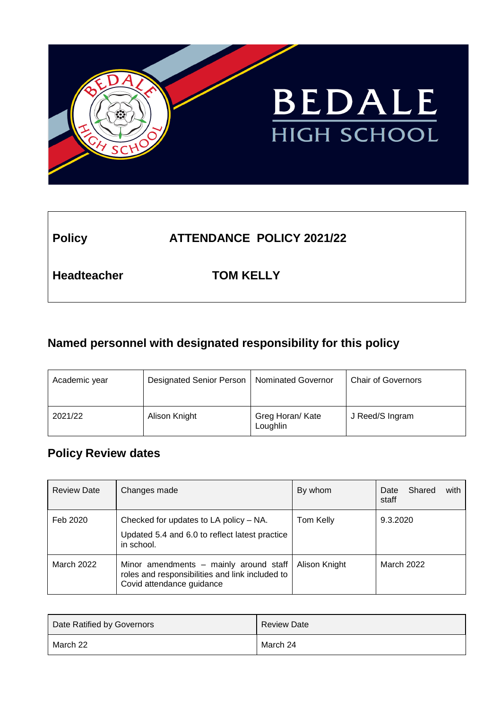

# **Policy ATTENDANCE POLICY 2021/22**

**Headteacher TOM KELLY**

# **Named personnel with designated responsibility for this policy**

| Academic year | Designated Senior Person | <b>Nominated Governor</b>    | <b>Chair of Governors</b> |
|---------------|--------------------------|------------------------------|---------------------------|
| 2021/22       | Alison Knight            | Greg Horan/ Kate<br>Loughlin | J Reed/S Ingram           |

# **Policy Review dates**

| <b>Review Date</b> | Changes made                                                                                                           | By whom       | Shared<br>with<br>Date<br>staff |
|--------------------|------------------------------------------------------------------------------------------------------------------------|---------------|---------------------------------|
| Feb 2020           | Checked for updates to LA policy - NA.<br>Updated 5.4 and 6.0 to reflect latest practice<br>in school.                 | Tom Kelly     | 9.3.2020                        |
| March 2022         | Minor amendments - mainly around staff<br>roles and responsibilities and link included to<br>Covid attendance guidance | Alison Knight | March 2022                      |

| Date Ratified by Governors | <b>Review Date</b> |
|----------------------------|--------------------|
| March 22                   | March 24           |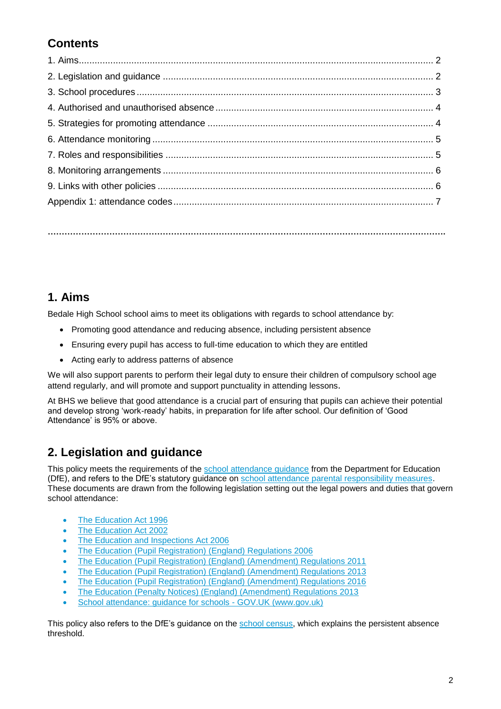# **Contents**

**…………………………………………………………………………………………………………………………….**

# **1. Aims**

Bedale High School school aims to meet its obligations with regards to school attendance by:

- Promoting good attendance and reducing absence, including persistent absence
- Ensuring every pupil has access to full-time education to which they are entitled
- Acting early to address patterns of absence

We will also support parents to perform their legal duty to ensure their children of compulsory school age attend regularly, and will promote and support punctuality in attending lessons.

At BHS we believe that good attendance is a crucial part of ensuring that pupils can achieve their potential and develop strong 'work-ready' habits, in preparation for life after school. Our definition of 'Good Attendance' is 95% or above.

# **2. Legislation and guidance**

This policy meets the requirements of the [school attendance guidance](https://www.gov.uk/government/publications/school-attendance) from the Department for Education (DfE), and refers to the DfE's statutory guidance on [school attendance parental responsibility measures.](https://www.gov.uk/government/publications/parental-responsibility-measures-for-behaviour-and-attendance) These documents are drawn from the following legislation setting out the legal powers and duties that govern school attendance:

- [The Education Act 1996](https://www.legislation.gov.uk/ukpga/1996/56/part/VI/chapter/II)
- [The Education Act 2002](http://www.legislation.gov.uk/ukpga/2002/32/part/3/chapter/3)
- [The Education and Inspections Act 2006](http://www.legislation.gov.uk/ukpga/2006/40/part/7/chapter/2/crossheading/school-attendance)
- [The Education \(Pupil Registration\) \(England\) Regulations 2006](http://www.legislation.gov.uk/uksi/2006/1751/contents/made)
- [The Education \(Pupil Registration\) \(England\) \(Amendment\) Regulations 2011](http://www.legislation.gov.uk/uksi/2011/1625/made)
- [The Education \(Pupil Registration\) \(England\) \(Amendment\) Regulations 2013](http://www.legislation.gov.uk/uksi/2013/756/made)
- [The Education \(Pupil Registration\) \(England\) \(Amendment\) Regulations 2016](http://legislation.data.gov.uk/uksi/2016/792/made/data.html)
- [The Education \(Penalty Notices\) \(England\) \(Amendment\) Regulations 2013](http://www.legislation.gov.uk/uksi/2013/756/pdfs/uksiem_20130756_en.pdf)
- [School attendance: guidance for schools -](https://www.gov.uk/government/publications/school-attendance) GOV.UK (www.gov.uk)

This policy also refers to the DfE's quidance on the [school census,](https://www.gov.uk/government/publications/school-census-2017-to-2018-guide-for-schools-and-las) which explains the persistent absence threshold.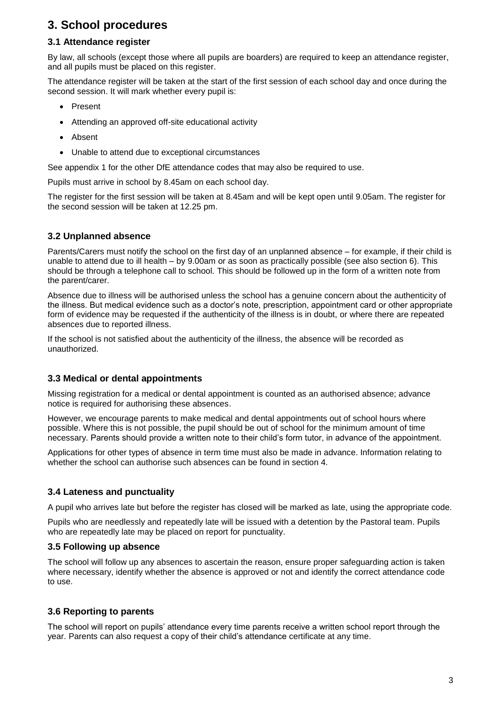## **3. School procedures**

## **3.1 Attendance register**

By law, all schools (except those where all pupils are boarders) are required to keep an attendance register, and all pupils must be placed on this register.

The attendance register will be taken at the start of the first session of each school day and once during the second session. It will mark whether every pupil is:

- Present
- Attending an approved off-site educational activity
- Absent
- Unable to attend due to exceptional circumstances

See appendix 1 for the other DfE attendance codes that may also be required to use.

Pupils must arrive in school by 8.45am on each school day.

The register for the first session will be taken at 8.45am and will be kept open until 9.05am. The register for the second session will be taken at 12.25 pm.

### **3.2 Unplanned absence**

Parents/Carers must notify the school on the first day of an unplanned absence – for example, if their child is unable to attend due to ill health – by 9.00am or as soon as practically possible (see also section 6). This should be through a telephone call to school. This should be followed up in the form of a written note from the parent/carer.

Absence due to illness will be authorised unless the school has a genuine concern about the authenticity of the illness. But medical evidence such as a doctor's note, prescription, appointment card or other appropriate form of evidence may be requested if the authenticity of the illness is in doubt, or where there are repeated absences due to reported illness.

If the school is not satisfied about the authenticity of the illness, the absence will be recorded as unauthorized.

### **3.3 Medical or dental appointments**

Missing registration for a medical or dental appointment is counted as an authorised absence; advance notice is required for authorising these absences.

However, we encourage parents to make medical and dental appointments out of school hours where possible. Where this is not possible, the pupil should be out of school for the minimum amount of time necessary. Parents should provide a written note to their child's form tutor, in advance of the appointment.

Applications for other types of absence in term time must also be made in advance. Information relating to whether the school can authorise such absences can be found in section 4.

### **3.4 Lateness and punctuality**

A pupil who arrives late but before the register has closed will be marked as late, using the appropriate code.

Pupils who are needlessly and repeatedly late will be issued with a detention by the Pastoral team. Pupils who are repeatedly late may be placed on report for punctuality.

#### **3.5 Following up absence**

The school will follow up any absences to ascertain the reason, ensure proper safeguarding action is taken where necessary, identify whether the absence is approved or not and identify the correct attendance code to use.

### **3.6 Reporting to parents**

The school will report on pupils' attendance every time parents receive a written school report through the year. Parents can also request a copy of their child's attendance certificate at any time.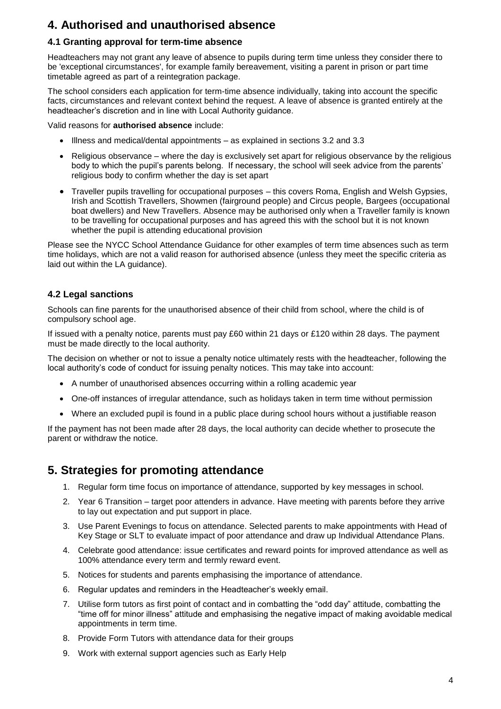# **4. Authorised and unauthorised absence**

## **4.1 Granting approval for term-time absence**

Headteachers may not grant any leave of absence to pupils during term time unless they consider there to be 'exceptional circumstances', for example family bereavement, visiting a parent in prison or part time timetable agreed as part of a reintegration package.

The school considers each application for term-time absence individually, taking into account the specific facts, circumstances and relevant context behind the request. A leave of absence is granted entirely at the headteacher's discretion and in line with Local Authority guidance.

Valid reasons for **authorised absence** include:

- Illness and medical/dental appointments as explained in sections 3.2 and 3.3
- Religious observance where the day is exclusively set apart for religious observance by the religious body to which the pupil's parents belong. If necessary, the school will seek advice from the parents' religious body to confirm whether the day is set apart
- Traveller pupils travelling for occupational purposes this covers Roma, English and Welsh Gypsies, Irish and Scottish Travellers, Showmen (fairground people) and Circus people, Bargees (occupational boat dwellers) and New Travellers. Absence may be authorised only when a Traveller family is known to be travelling for occupational purposes and has agreed this with the school but it is not known whether the pupil is attending educational provision

Please see the NYCC School Attendance Guidance for other examples of term time absences such as term time holidays, which are not a valid reason for authorised absence (unless they meet the specific criteria as laid out within the LA guidance).

### **4.2 Legal sanctions**

Schools can fine parents for the unauthorised absence of their child from school, where the child is of compulsory school age.

If issued with a penalty notice, parents must pay £60 within 21 days or £120 within 28 days. The payment must be made directly to the local authority.

The decision on whether or not to issue a penalty notice ultimately rests with the headteacher, following the local authority's code of conduct for issuing penalty notices. This may take into account:

- A number of unauthorised absences occurring within a rolling academic year
- One-off instances of irregular attendance, such as holidays taken in term time without permission
- Where an excluded pupil is found in a public place during school hours without a justifiable reason

If the payment has not been made after 28 days, the local authority can decide whether to prosecute the parent or withdraw the notice.

## **5. Strategies for promoting attendance**

- 1. Regular form time focus on importance of attendance, supported by key messages in school.
- 2. Year 6 Transition target poor attenders in advance. Have meeting with parents before they arrive to lay out expectation and put support in place.
- 3. Use Parent Evenings to focus on attendance. Selected parents to make appointments with Head of Key Stage or SLT to evaluate impact of poor attendance and draw up Individual Attendance Plans.
- 4. Celebrate good attendance: issue certificates and reward points for improved attendance as well as 100% attendance every term and termly reward event.
- 5. Notices for students and parents emphasising the importance of attendance.
- 6. Regular updates and reminders in the Headteacher's weekly email.
- 7. Utilise form tutors as first point of contact and in combatting the "odd day" attitude, combatting the "time off for minor illness" attitude and emphasising the negative impact of making avoidable medical appointments in term time.
- 8. Provide Form Tutors with attendance data for their groups
- 9. Work with external support agencies such as Early Help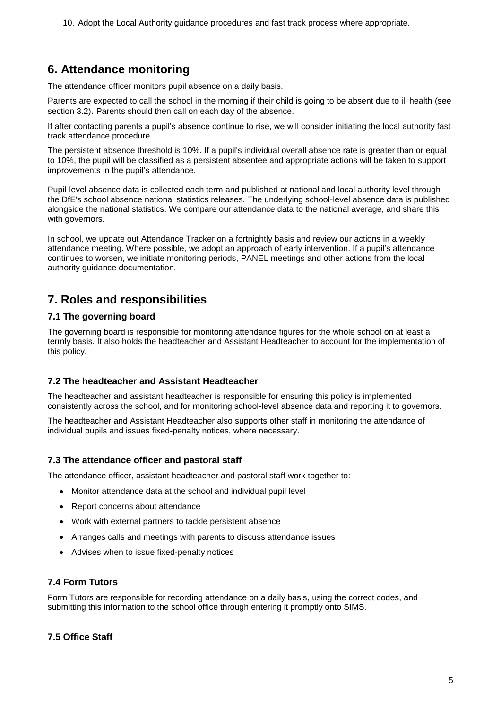10. Adopt the Local Authority guidance procedures and fast track process where appropriate.

# **6. Attendance monitoring**

The attendance officer monitors pupil absence on a daily basis.

Parents are expected to call the school in the morning if their child is going to be absent due to ill health (see section 3.2). Parents should then call on each day of the absence.

If after contacting parents a pupil's absence continue to rise, we will consider initiating the local authority fast track attendance procedure.

The persistent absence threshold is 10%. If a pupil's individual overall absence rate is greater than or equal to 10%, the pupil will be classified as a persistent absentee and appropriate actions will be taken to support improvements in the pupil's attendance.

Pupil-level absence data is collected each term and published at national and local authority level through the DfE's school absence national statistics releases. The underlying school-level absence data is published alongside the national statistics. We compare our attendance data to the national average, and share this with governors.

In school, we update out Attendance Tracker on a fortnightly basis and review our actions in a weekly attendance meeting. Where possible, we adopt an approach of early intervention. If a pupil's attendance continues to worsen, we initiate monitoring periods, PANEL meetings and other actions from the local authority guidance documentation.

# **7. Roles and responsibilities**

### **7.1 The governing board**

The governing board is responsible for monitoring attendance figures for the whole school on at least a termly basis. It also holds the headteacher and Assistant Headteacher to account for the implementation of this policy.

### **7.2 The headteacher and Assistant Headteacher**

The headteacher and assistant headteacher is responsible for ensuring this policy is implemented consistently across the school, and for monitoring school-level absence data and reporting it to governors.

The headteacher and Assistant Headteacher also supports other staff in monitoring the attendance of individual pupils and issues fixed-penalty notices, where necessary.

### **7.3 The attendance officer and pastoral staff**

The attendance officer, assistant headteacher and pastoral staff work together to:

- Monitor attendance data at the school and individual pupil level
- Report concerns about attendance
- Work with external partners to tackle persistent absence
- Arranges calls and meetings with parents to discuss attendance issues
- Advises when to issue fixed-penalty notices

### **7.4 Form Tutors**

Form Tutors are responsible for recording attendance on a daily basis, using the correct codes, and submitting this information to the school office through entering it promptly onto SIMS.

### **7.5 Office Staff**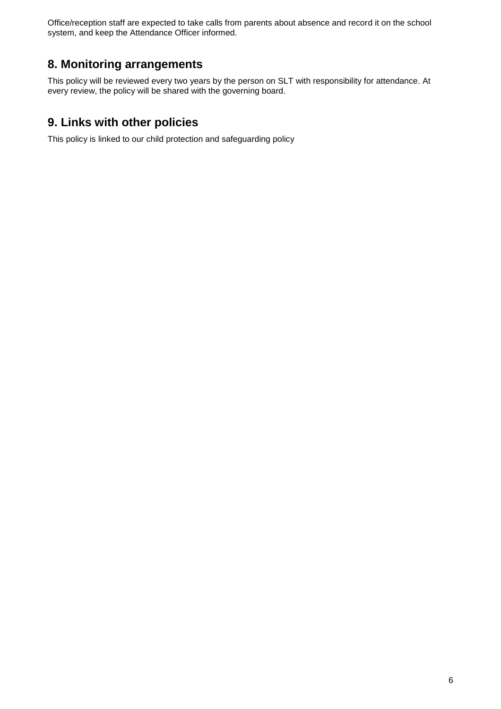Office/reception staff are expected to take calls from parents about absence and record it on the school system, and keep the Attendance Officer informed.

# **8. Monitoring arrangements**

This policy will be reviewed every two years by the person on SLT with responsibility for attendance. At every review, the policy will be shared with the governing board.

# **9. Links with other policies**

This policy is linked to our child protection and safeguarding policy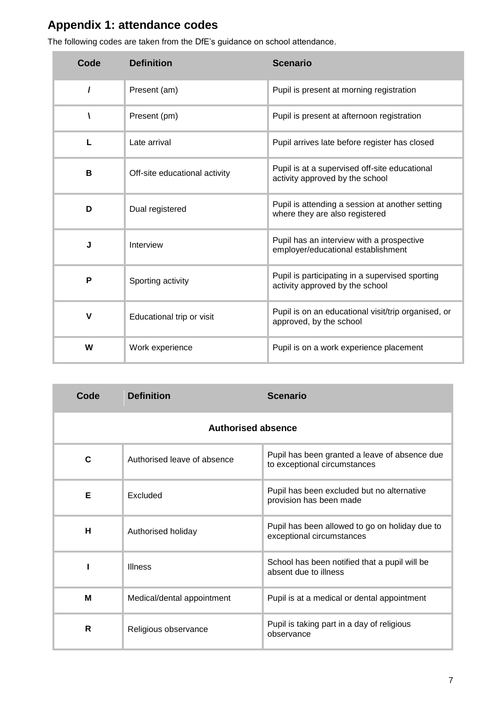# **Appendix 1: attendance codes**

| Code | <b>Definition</b>             | <b>Scenario</b>                                                                    |
|------|-------------------------------|------------------------------------------------------------------------------------|
| 1    | Present (am)                  | Pupil is present at morning registration                                           |
| V    | Present (pm)                  | Pupil is present at afternoon registration                                         |
| L    | Late arrival                  | Pupil arrives late before register has closed                                      |
| в    | Off-site educational activity | Pupil is at a supervised off-site educational<br>activity approved by the school   |
| D    | Dual registered               | Pupil is attending a session at another setting<br>where they are also registered  |
| J    | Interview                     | Pupil has an interview with a prospective<br>employer/educational establishment    |
| P    | Sporting activity             | Pupil is participating in a supervised sporting<br>activity approved by the school |
| V    | Educational trip or visit     | Pupil is on an educational visit/trip organised, or<br>approved, by the school     |
| W    | Work experience               | Pupil is on a work experience placement                                            |

The following codes are taken from the DfE's guidance on school attendance.

| Code                      | <b>Definition</b>           | <b>Scenario</b>                                                               |  |
|---------------------------|-----------------------------|-------------------------------------------------------------------------------|--|
| <b>Authorised absence</b> |                             |                                                                               |  |
| C                         | Authorised leave of absence | Pupil has been granted a leave of absence due<br>to exceptional circumstances |  |
| Е                         | Excluded                    | Pupil has been excluded but no alternative<br>provision has been made         |  |
| н                         | Authorised holiday          | Pupil has been allowed to go on holiday due to<br>exceptional circumstances   |  |
|                           | <b>Illness</b>              | School has been notified that a pupil will be<br>absent due to illness        |  |
| M                         | Medical/dental appointment  | Pupil is at a medical or dental appointment                                   |  |
| R                         | Religious observance        | Pupil is taking part in a day of religious<br>observance                      |  |